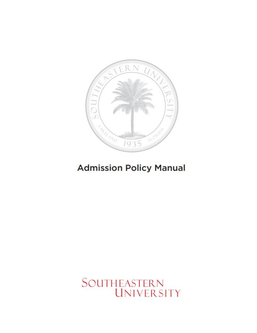

# **Admission Policy Manual**

# SOUTHEASTERN<br>UNIVERSITY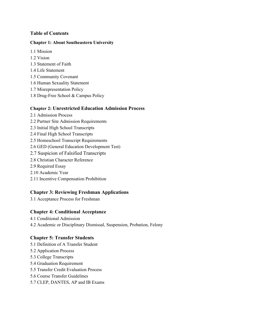#### **Table of Contents**

#### **Chapter 1: About Southeastern University**

- 1.1 Mission
- 1.2 Vision
- 1.3 Statement of Faith
- 1.4 Life Statement
- 1.5 Community Covenant
- 1.6 Human Sexuality Statement
- 1.7 Misrepresentation Policy
- 1.8 Drug-Free School & Campus Policy

#### **Chapter 2: Unrestricted Education Admission Process**

- 2.1 Admission Process
- 2.2 Partner Site Admission Requirements
- 2.3 Initial High School Transcripts
- 2.4 Final High School Transcripts
- 2.5 Homeschool Transcript Requirements
- 2.6 GED (General Education Development Test)
- 2.7 Suspicion of Falsified Transcripts
- 2.8 Christian Character Reference
- 2.9 Required Essay
- 2.10 Academic Year
- 2.11 Incentive Compensation Prohibition

# **Chapter 3: Reviewing Freshman Applications**

3.1 Acceptance Process for Freshman

#### **Chapter 4: Conditional Acceptance**

- 4.1 Conditional Admission
- 4.2 Academic or Disciplinary Dismissal, Suspension, Probation, Felony

# **Chapter 5: Transfer Students**

- 5.1 Definition of A Transfer Student
- 5.2 Application Process
- 5.3 College Transcripts
- 5.4 Graduation Requirement
- 5.5 Transfer Credit Evaluation Process
- 5.6 Course Transfer Guidelines
- 5.7 CLEP, DANTES, AP and IB Exams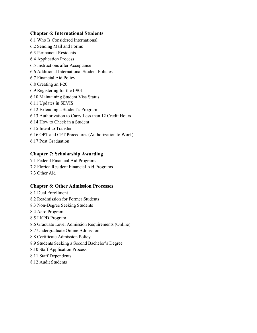#### **Chapter 6: International Students**

6.1 Who Is Considered International 6.2 Sending Mail and Forms 6.3 Permanent Residents 6.4 Application Process 6.5 Instructions after Acceptance 6.6 Additional International Student Policies 6.7 Financial Aid Policy 6.8 Creating an I-20 6.9 Registering for the I-901 6.10 Maintaining Student Visa Status 6.11 Updates in SEVIS 6.12 Extending a Student's Program 6.13 Authorization to Carry Less than 12 Credit Hours 6.14 How to Check in a Student 6.15 Intent to Transfer 6.16 OPT and CPT Procedures (Authorization to Work) 6.17 Post Graduation

#### **Chapter 7: Scholarship Awarding**

- 7.1 Federal Financial Aid Programs
- 7.2 Florida Resident Financial Aid Programs
- 7.3 Other Aid

#### **Chapter 8: Other Admission Processes**

8.1 Dual Enrollment 8.2 Readmission for Former Students 8.3 Non-Degree Seeking Students 8.4 Aero Program 8.5 LKPD Program 8.6 Graduate Level Admission Requirements (Online) 8.7 Undergraduate Online Admission 8.8 Certificate Admission Policy 8.9 Students Seeking a Second Bachelor's Degree 8.10 Staff Application Process 8.11 Staff Dependents 8.12 Audit Students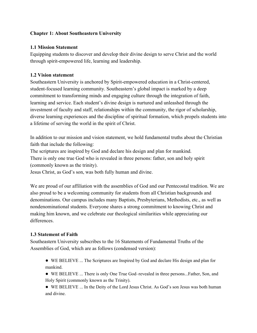#### **Chapter 1: About Southeastern University**

#### **1.1 Mission Statement**

Equipping students to discover and develop their divine design to serve Christ and the world through spirit-empowered life, learning and leadership.

#### **1.2 Vision statement**

Southeastern University is anchored by Spirit-empowered education in a Christ-centered, student-focused learning community. Southeastern's global impact is marked by a deep commitment to transforming minds and engaging culture through the integration of faith, learning and service. Each student's divine design is nurtured and unleashed through the investment of faculty and staff, relationships within the community, the rigor of scholarship, diverse learning experiences and the discipline of spiritual formation, which propels students into a lifetime of serving the world in the spirit of Christ.

In addition to our mission and vision statement, we hold fundamental truths about the Christian faith that include the following:

The scriptures are inspired by God and declare his design and plan for mankind. There is only one true God who is revealed in three persons: father, son and holy spirit (commonly known as the trinity).

Jesus Christ, as God's son, was both fully human and divine.

We are proud of our affiliation with the assemblies of God and our Pentecostal tradition. We are also proud to be a welcoming community for students from all Christian backgrounds and denominations. Our campus includes many Baptists, Presbyterians, Methodists, etc., as well as nondenominational students. Everyone shares a strong commitment to knowing Christ and making him known, and we celebrate our theological similarities while appreciating our differences.

# **1.3 Statement of Faith**

Southeastern University subscribes to the 16 Statements of Fundamental Truths of the Assemblies of God, which are as follows (condensed version):

● WE BELIEVE ... The Scriptures are Inspired by God and declare His design and plan for mankind.

● WE BELIEVE ... There is only One True God–revealed in three persons...Father, Son, and Holy Spirit (commonly known as the Trinity).

● WE BELIEVE ... In the Deity of the Lord Jesus Christ. As God's son Jesus was both human and divine.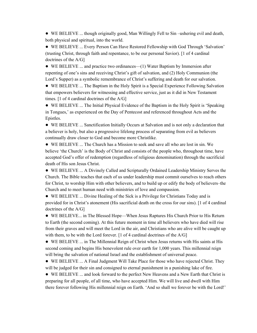● WE BELIEVE ... though originally good, Man Willingly Fell to Sin –ushering evil and death, both physical and spiritual, into the world.

● WE BELIEVE ... Every Person Can Have Restored Fellowship with God Through 'Salvation' (trusting Christ, through faith and repentance, to be our personal Savior). [1 of 4 cardinal doctrines of the A/G]

• WE BELIEVE ... and practice two ordinances—(1) Water Baptism by Immersion after repenting of one's sins and receiving Christ's gift of salvation, and (2) Holy Communion (the Lord's Supper) as a symbolic remembrance of Christ's suffering and death for our salvation.

● WE BELIEVE ... The Baptism in the Holy Spirit is a Special Experience Following Salvation that empowers believers for witnessing and effective service, just as it did in New Testament times. [1 of 4 cardinal doctrines of the A/G]

• WE BELIEVE ... The Initial Physical Evidence of the Baptism in the Holy Spirit is 'Speaking in Tongues,' as experienced on the Day of Pentecost and referenced throughout Acts and the Epistles.

● WE BELIEVE ... Sanctification Initially Occurs at Salvation and is not only a declaration that a believer is holy, but also a progressive lifelong process of separating from evil as believers continually draw closer to God and become more Christlike.

● WE BELIEVE ... The Church has a Mission to seek and save all who are lost in sin. We believe 'the Church' is the Body of Christ and consists of the people who, throughout time, have accepted God's offer of redemption (regardless of religious denomination) through the sacrificial death of His son Jesus Christ.

● WE BELIEVE ... A Divinely Called and Scripturally Ordained Leadership Ministry Serves the Church. The Bible teaches that each of us under leadership must commit ourselves to reach others for Christ, to worship Him with other believers, and to build up or edify the body of believers–the Church and to meet human need with ministries of love and compassion.

● WE BELIEVE ... Divine Healing of the Sick is a Privilege for Christians Today and is provided for in Christ's atonement (His sacrificial death on the cross for our sins). [1 of 4 cardinal doctrines of the A/G]

● WE BELIEVE... in The Blessed Hope—When Jesus Raptures His Church Prior to His Return to Earth (the second coming). At this future moment in time all believers who have died will rise from their graves and will meet the Lord in the air, and Christians who are alive will be caught up with them, to be with the Lord forever. [1 of 4 cardinal doctrines of the A/G]

● WE BELIEVE ... in The Millennial Reign of Christ when Jesus returns with His saints at His second coming and begins His benevolent rule over earth for 1,000 years. This millennial reign will bring the salvation of national Israel and the establishment of universal peace.

● WE BELIEVE ... A Final Judgment Will Take Place for those who have rejected Christ. They will be judged for their sin and consigned to eternal punishment in a punishing lake of fire.

● WE BELIEVE ... and look forward to the perfect New Heavens and a New Earth that Christ is preparing for all people, of all time, who have accepted Him. We will live and dwell with Him there forever following His millennial reign on Earth. 'And so shall we forever be with the Lord!'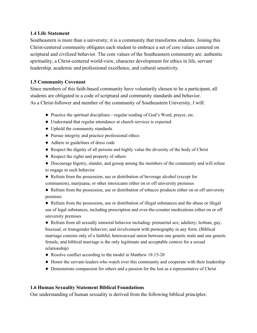#### **1.4 Life Statement**

Southeastern is more than a university; it is a community that transforms students. Joining this Christ-centered community obligates each student to embrace a set of core values centered on scriptural and civilized behavior. The core values of the Southeastern community are: authentic spirituality, a Christ-centered world-view, character development for ethics in life, servant leadership, academic and professional excellence, and cultural sensitivity.

#### **1.5 Community Covenant**

Since members of this faith-based community have voluntarily chosen to be a participant, all students are obligated to a code of scriptural and community standards and behavior. As a Christ-follower and member of the community of Southeastern University, I will:

- Practice the spiritual disciplines—regular reading of God's Word, prayer, etc.
- Understand that regular attendance at church services is expected
- Uphold the community standards
- Pursue integrity and practice professional ethics
- Adhere to guidelines of dress code
- Respect the dignity of all persons and highly value the diversity of the body of Christ
- Respect the rights and property of others
- Discourage bigotry, slander, and gossip among the members of the community and will refuse to engage in such behavior
- Refrain from the possession, use or distribution of beverage alcohol (except for communion), marijuana, or other intoxicants either on or off university premises
- Refrain from the possession, use or distribution of tobacco products either on or off university premises

• Refrain from the possession, use or distribution of illegal substances and the abuse or illegal use of legal substances, including prescription and over-the-counter medications either on or off university premises

● Refrain from all sexually immoral behavior including: premarital sex; adultery; lesbian, gay, bisexual, or transgender behavior; and involvement with pornography in any form. (Biblical marriage consists only of a faithful, heterosexual union between one genetic male and one genetic female, and biblical marriage is the only legitimate and acceptable context for a sexual relationship)

- Resolve conflict according to the model in Matthew 18:15-20
- Honor the servant-leaders who watch over this community and cooperate with their leadership
- Demonstrate compassion for others and a passion for the lost as a representative of Christ

#### **1.6 Human Sexuality Statement Biblical Foundations**

Our understanding of human sexuality is derived from the following biblical principles: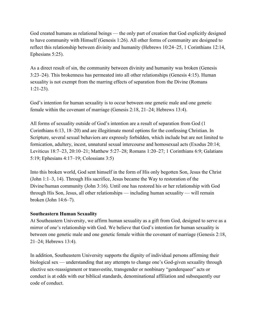God created humans as relational beings — the only part of creation that God explicitly designed to have community with Himself (Genesis 1:26). All other forms of community are designed to reflect this relationship between divinity and humanity (Hebrews 10:24–25, 1 Corinthians 12:14, Ephesians 5:25).

As a direct result of sin, the community between divinity and humanity was broken (Genesis 3:23–24). This brokenness has permeated into all other relationships (Genesis 4:15). Human sexuality is not exempt from the marring effects of separation from the Divine (Romans 1:21-23).

God's intention for human sexuality is to occur between one genetic male and one genetic female within the covenant of marriage (Genesis 2:18, 21–24; Hebrews 13:4).

All forms of sexuality outside of God's intention are a result of separation from God (1 Corinthians 6:13, 18–20) and are illegitimate moral options for the confessing Christian. In Scripture, several sexual behaviors are expressly forbidden, which include but are not limited to fornication, adultery, incest, unnatural sexual intercourse and homosexual acts (Exodus 20:14; Leviticus 18:7–23, 20:10–21; Matthew 5:27–28; Romans 1:20–27; 1 Corinthians 6:9; Galatians 5:19; Ephesians 4:17–19; Colossians 3:5)

Into this broken world, God sent himself in the form of His only begotten Son, Jesus the Christ (John 1:1–3, 14). Through His sacrifice, Jesus became the Way to restoration of the Divine/human community (John 3:16). Until one has restored his or her relationship with God through His Son, Jesus, all other relationships — including human sexuality — will remain broken (John 14:6–7).

#### **Southeastern Human Sexuality**

At Southeastern University, we affirm human sexuality as a gift from God, designed to serve as a mirror of one's relationship with God. We believe that God's intention for human sexuality is between one genetic male and one genetic female within the covenant of marriage (Genesis 2:18, 21–24; Hebrews 13:4).

In addition, Southeastern University supports the dignity of individual persons affirming their biological sex — understanding that any attempts to change one's God-given sexuality through elective sex-reassignment or transvestite, transgender or nonbinary "genderqueer" acts or conduct is at odds with our biblical standards, denominational affiliation and subsequently our code of conduct.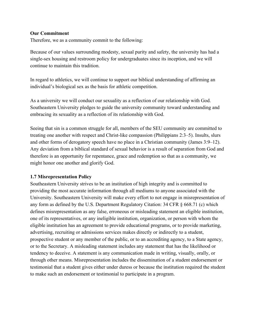#### **Our Commitment**

Therefore, we as a community commit to the following:

Because of our values surrounding modesty, sexual purity and safety, the university has had a single-sex housing and restroom policy for undergraduates since its inception, and we will continue to maintain this tradition.

In regard to athletics, we will continue to support our biblical understanding of affirming an individual's biological sex as the basis for athletic competition.

As a university we will conduct our sexuality as a reflection of our relationship with God. Southeastern University pledges to guide the university community toward understanding and embracing its sexuality as a reflection of its relationship with God.

Seeing that sin is a common struggle for all, members of the SEU community are committed to treating one another with respect and Christ-like compassion (Philippians 2:3–5). Insults, slurs and other forms of derogatory speech have no place in a Christian community (James 3:9–12). Any deviation from a biblical standard of sexual behavior is a result of separation from God and therefore is an opportunity for repentance, grace and redemption so that as a community, we might honor one another and glorify God.

#### **1.7 Misrepresentation Policy**

Southeastern University strives to be an institution of high integrity and is committed to providing the most accurate information through all mediums to anyone associated with the University. Southeastern University will make every effort to not engage in misrepresentation of any form as defined by the U.S. Department Regulatory Citation: 34 CFR § 668.71 (c) which defines misrepresentation as any false, erroneous or misleading statement an eligible institution, one of its representatives, or any ineligible institution, organization, or person with whom the eligible institution has an agreement to provide educational programs, or to provide marketing, advertising, recruiting or admissions services makes directly or indirectly to a student, prospective student or any member of the public, or to an accrediting agency, to a State agency, or to the Secretary. A misleading statement includes any statement that has the likelihood or tendency to deceive. A statement is any communication made in writing, visually, orally, or through other means. Misrepresentation includes the dissemination of a student endorsement or testimonial that a student gives either under duress or because the institution required the student to make such an endorsement or testimonial to participate in a program.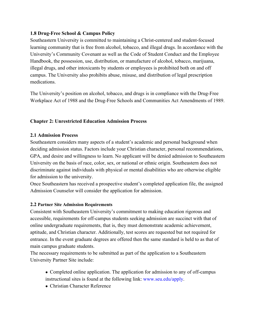#### **1.8 Drug-Free School & Campus Policy**

Southeastern University is committed to maintaining a Christ-centered and student-focused learning community that is free from alcohol, tobacco, and illegal drugs. In accordance with the University's Community Covenant as well as the Code of Student Conduct and the Employee Handbook, the possession, use, distribution, or manufacture of alcohol, tobacco, marijuana, illegal drugs, and other intoxicants by students or employees is prohibited both on and off campus. The University also prohibits abuse, misuse, and distribution of legal prescription medications.

The University's position on alcohol, tobacco, and drugs is in compliance with the Drug-Free Workplace Act of 1988 and the Drug-Free Schools and Communities Act Amendments of 1989.

# **Chapter 2: Unrestricted Education Admission Process**

# **2.1 Admission Process**

Southeastern considers many aspects of a student's academic and personal background when deciding admission status. Factors include your Christian character, personal recommendations, GPA, and desire and willingness to learn. No applicant will be denied admission to Southeastern University on the basis of race, color, sex, or national or ethnic origin. Southeastern does not discriminate against individuals with physical or mental disabilities who are otherwise eligible for admission to the university.

Once Southeastern has received a prospective student's completed application file, the assigned Admission Counselor will consider the application for admission.

# **2.2 Partner Site Admission Requirements**

Consistent with Southeastern University's commitment to making education rigorous and accessible, requirements for off-campus students seeking admission are succinct with that of online undergraduate requirements, that is, they must demonstrate academic achievement, aptitude, and Christian character. Additionally, test scores are requested but not required for entrance. In the event graduate degrees are offered then the same standard is held to as that of main campus graduate students.

The necessary requirements to be submitted as part of the application to a Southeastern University Partner Site include:

- Completed online application. The application for admission to any of off-campus instructional sites is found at the following link: www.seu.edu/apply.
- Christian Character Reference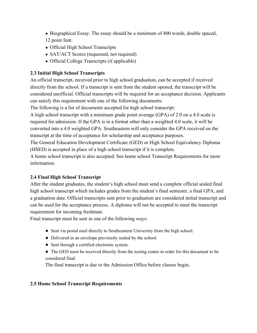- Biographical Essay. The essay should be a minimum of 400 words, double spaced, 12 point font.
- Official High School Transcripts
- SAT/ACT Scores (requested, not required)
- Official College Transcripts (if applicable)

# **2.3 Initial High School Transcripts**

An official transcript, received prior to high school graduation, can be accepted if received directly from the school. If a transcript is sent from the student opened, the transcript will be considered unofficial. Official transcripts will be required for an acceptance decision. Applicants can satisfy this requirement with one of the following documents:

The following is a list of documents accepted for high school transcript:

A high school transcript with a minimum grade point average (GPA) of 2.0 on a 4.0 scale is required for admission. If the GPA is in a format other than a weighted 4.0 scale, it will be converted into a 4.0 weighted GPA. Southeastern will only consider the GPA received on the transcript at the time of acceptance for scholarship and acceptance purposes.

The General Education Development Certificate (GED) or High School Equivalency Diploma (HSED) is accepted in place of a high school transcript if it is complete.

A home school transcript is also accepted. See home school Transcript Requirements for more information.

# **2.4 Final High School Transcript**

After the student graduates, the student's high school must send a complete official sealed final high school transcript which includes grades from the student's final semester, a final GPA, and a graduation date. Official transcripts sent prior to graduation are considered initial transcript and can be used for the acceptance process. A diploma will not be accepted to meet the transcript requirement for incoming freshman.

Final transcript must be sent in one of the following ways:

- Sent via postal mail directly to Southeastern University from the high school.
- Delivered in an envelope previously sealed by the school.
- Sent through a certified electronic system.
- The GED must be received directly from the testing center in order for this document to be considered final.

The final transcript is due to the Admission Office before classes begin.

# **2.5 Home School Transcript Requirements**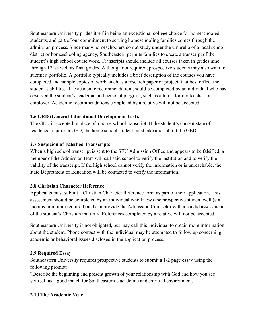Southeastern University prides itself in being an exceptional college choice for homeschooled students, and part of our commitment to serving homeschooling families comes through the admission process. Since many homeschoolers do not study under the umbrella of a local school district or homeschooling agency, Southeastern permits families to create a transcript of the student's high school course work. Transcripts should include all courses taken in grades nine through 12, as well as final grades. Although not required, prospective students may also want to submit a portfolio. A portfolio typically includes a brief description of the courses you have completed and sample copies of work, such as a research paper or project, that best reflect the student's abilities. The academic recommendation should be completed by an individual who has observed the student's academic and personal progress, such as a tutor, former teacher, or employer. Academic recommendations completed by a relative will not be accepted.

# **2.6 GED (General Educational Development Test).**

The GED is accepted in place of a home school transcript. If the student's current state of residence requires a GED, the home school student must take and submit the GED.

# **2.7 Suspicion of Falsified Transcripts**

When a high school transcript is sent to the SEU Admission Office and appears to be falsified, a member of the Admission team will call said school to verify the institution and to verify the validity of the transcript. If the high school cannot verify the information or is unreachable, the state Department of Education will be contacted to verify the information.

# **2.8 Christian Character Reference**

Applicants must submit a Christian Character Reference form as part of their application. This assessment should be completed by an individual who knows the prospective student well (six months minimum required) and can provide the Admission Counselor with a candid assessment of the student's Christian maturity. References completed by a relative will not be accepted.

Southeastern University is not obligated, but may call this individual to obtain more information about the student. Phone contact with the individual may be attempted to follow up concerning academic or behavioral issues disclosed in the application process.

# **2.9 Required Essay**

Southeastern University requires prospective students to submit a 1-2 page essay using the following prompt:

"Describe the beginning and present growth of your relationship with God and how you see yourself as a good match for Southeastern's academic and spiritual environment."

# **2.10 The Academic Year**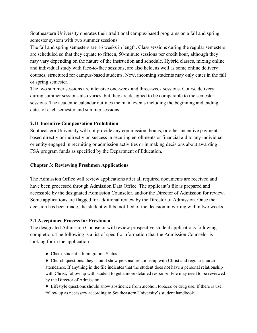Southeastern University operates their traditional campus-based programs on a fall and spring semester system with two summer sessions.

The fall and spring semesters are 16 weeks in length. Class sessions during the regular semesters are scheduled so that they equate to fifteen, 50-minute sessions per credit hour, although they may vary depending on the nature of the instruction and schedule. Hybrid classes, mixing online and individual study with face-to-face sessions, are also held, as well as some online delivery courses, structured for campus-based students. New, incoming students may only enter in the fall or spring semester.

The two summer sessions are intensive one-week and three-week sessions. Course delivery during summer sessions also varies, but they are designed to be comparable to the semester sessions. The academic calendar outlines the main events including the beginning and ending dates of each semester and summer sessions.

#### **2.11 Incentive Compensation Prohibition**

Southeastern University will not provide any commission, bonus, or other incentive payment based directly or indirectly on success in securing enrollments or financial aid to any individual or entity engaged in recruiting or admission activities or in making decisions about awarding FSA program funds as specified by the Department of Education.

#### **Chapter 3: Reviewing Freshmen Applications**

The Admission Office will review applications after all required documents are received and have been processed through Admission Data Office. The applicant's file is prepared and accessible by the designated Admission Counselor, and/or the Director of Admission for review. Some applications are flagged for additional review by the Director of Admission. Once the decision has been made, the student will be notified of the decision in writing within two weeks.

#### **3.1 Acceptance Process for Freshmen**

The designated Admission Counselor will review prospective student applications following completion. The following is a list of specific information that the Admission Counselor is looking for in the application:

- Check student's Immigration Status
- Church questions: they should show personal relationship with Christ and regular church attendance. If anything in the file indicates that the student does not have a personal relationship with Christ, follow up with student to get a more detailed response. File may need to be reviewed by the Director of Admission.

● Lifestyle questions should show abstinence from alcohol, tobacco or drug use. If there is use, follow up as necessary according to Southeastern University's student handbook.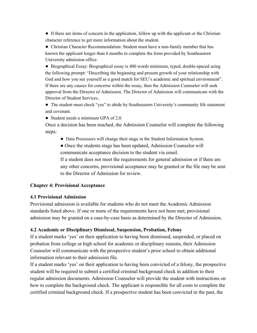• If there are items of concern in the application, follow up with the applicant or the Christian character reference to get more information about the student.

● Christian Character Recommendation: Student must have a non-family member that has known the applicant longer than 6 months to complete the form provided by Southeastern University admission office.

● Biographical Essay: Biographical essay is 400 words minimum, typed, double-spaced using the following prompt: "Describing the beginning and present growth of your relationship with God and how you see yourself as a good match for SEU's academic and spiritual environment". If there are any causes for concerns within the essay, then the Admission Counselor will seek approval from the Director of Admission. The Director of Admission will communicate with the Director of Student Services..

● The student must check "yes" to abide by Southeastern University's community life statement and covenant.

• Student needs a minimum GPA of 2.0.

Once a decision has been reached, the Admission Counselor will complete the following steps:

- Data Processors will change their stage in the Student Information System.
- Once the students stage has been updated, Admission Counselor will communicate acceptance decision to the student via email.

If a student does not meet the requirements for general admission or if there are any other concerns, provisional acceptance may be granted or the file may be sent to the Director of Admission for review.

#### **Chapter 4: Provisional Acceptance**

#### **4.1 Provisional Admission**

Provisional admission is available for students who do not meet the Academic Admission standards listed above. If one or more of the requirements have not been met, provisional admission may be granted on a case-by-case basis as determined by the Director of Admission.

#### **4.2 Academic or Disciplinary Dismissal, Suspension, Probation, Felony**

If a student marks 'yes' on their application to having been dismissed, suspended, or placed on probation from college or high school for academic or disciplinary reasons, their Admission Counselor will communicate with the prospective student's prior school to obtain additional information relevant to their admission file.

If a student marks 'yes' on their application to having been convicted of a felony, the prospective student will be required to submit a certified criminal background check in addition to their regular admission documents. Admission Counselor will provide the student with instructions on how to complete the background check. The applicant is responsible for all costs to complete the certified criminal background check. If a prospective student has been convicted in the past, the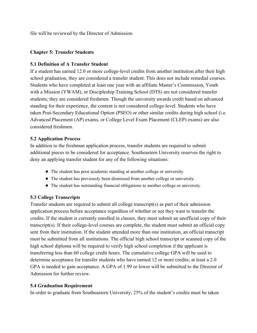file will be reviewed by the Director of Admission.

#### **Chapter 5: Transfer Students**

#### **5.1 Definition of A Transfer Student**

If a student has earned 12.0 or more college-level credits from another institution after their high school graduation, they are considered a transfer student. This does not include remedial courses. Students who have completed at least one year with an affiliate Master's Commission, Youth with a Mission (YWAM), or Discipleship Training School (DTS) are not considered transfer students; they are considered freshmen. Though the university awards credit based on advanced standing for their experience, the content is not considered college-level. Students who have taken Post-Secondary Educational Option (PSEO) or other similar credits during high school (i.e. Advanced Placement (AP) exams, or College Level Exam Placement (CLEP) exams) are also considered freshmen.

#### **5.2 Application Process**

In addition to the freshman application process, transfer students are required to submit additional pieces to be considered for acceptance. Southeastern University reserves the right to deny an applying transfer student for any of the following situations:

- The student has poor academic standing at another college or university.
- The student has previously been dismissed from another college or university.
- The student has outstanding financial obligations to another college or university.

#### **5.3 College Transcripts**

Transfer students are required to submit all college transcript(s) as part of their admission application process before acceptance regardless of whether or not they want to transfer the credits. If the student is currently enrolled in classes, they must submit an unofficial copy of their transcript(s). If their college-level courses are complete, the student must submit an official copy sent from their institution. If the student attended more than one institution, an official transcript must be submitted from all institutions. The official high school transcript or scanned copy of the high school diploma will be required to verify high school completion if the applicant is transferring less than 60 college credit hours. The cumulative college GPA will be used to determine acceptance for transfer students who have earned 12 or more credits; at least a 2.0 GPA is needed to gain acceptance. A GPA of 1.99 or lower will be submitted to the Director of Admission for further review.

#### **5.4 Graduation Requirement**

In order to graduate from Southeastern University, 25% of the student's credits must be taken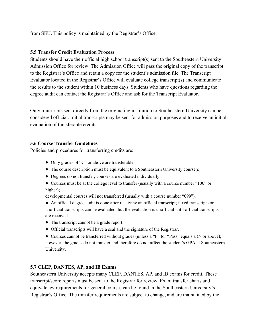from SEU. This policy is maintained by the Registrar's Office.

#### **5.5 Transfer Credit Evaluation Process**

Students should have their official high school transcript(s) sent to the Southeastern University Admission Office for review. The Admission Office will pass the original copy of the transcript to the Registrar's Office and retain a copy for the student's admission file. The Transcript Evaluator located in the Registrar's Office will evaluate college transcript(s) and communicate the results to the student within 10 business days. Students who have questions regarding the degree audit can contact the Registrar's Office and ask for the Transcript Evaluator.

Only transcripts sent directly from the originating institution to Southeastern University can be considered official. Initial transcripts may be sent for admission purposes and to receive an initial evaluation of transferable credits.

#### **5.6 Course Transfer Guidelines**

Policies and procedures for transferring credits are:

- Only grades of "C" or above are transferable.
- The course description must be equivalent to a Southeastern University course(s).
- Degrees do not transfer; courses are evaluated individually.
- Courses must be at the college level to transfer (usually with a course number "100" or higher);

developmental courses will not transferred (usually with a course number "099").

- An official degree audit is done after receiving an official transcript; faxed transcripts or unofficial transcripts can be evaluated, but the evaluation is unofficial until official transcripts are received.
- The transcript cannot be a grade report.
- Official transcripts will have a seal and the signature of the Registrar.

● Courses cannot be transferred without grades (unless a "P" for "Pass" equals a C- or above); however, the grades do not transfer and therefore do not affect the student's GPA at Southeastern University.

# **5.7 CLEP, DANTES, AP, and IB Exams**

Southeastern University accepts many CLEP, DANTES, AP, and IB exams for credit. These transcript/score reports must be sent to the Registrar for review. Exam transfer charts and equivalency requirements for general courses can be found in the Southeastern University's Registrar's Office. The transfer requirements are subject to change, and are maintained by the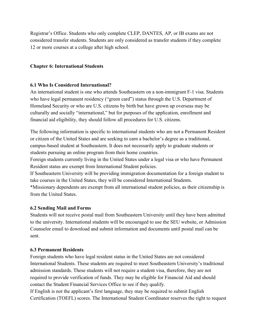Registrar's Office. Students who only complete CLEP, DANTES, AP, or IB exams are not considered transfer students. Students are only considered as transfer students if they complete 12 or more courses at a college after high school.

#### **Chapter 6: International Students**

#### **6.1 Who Is Considered International?**

An international student is one who attends Southeastern on a non-immigrant F-1 visa. Students who have legal permanent residency ("green card") status through the U.S. Department of Homeland Security or who are U.S. citizens by birth but have grown up overseas may be culturally and socially "international," but for purposes of the application, enrollment and financial aid eligibility, they should follow all procedures for U.S. citizens.

The following information is specific to international students who are not a Permanent Resident or citizen of the United States and are seeking to earn a bachelor's degree as a traditional, campus-based student at Southeastern. It does not necessarily apply to graduate students or students pursuing an online program from their home countries.

Foreign students currently living in the United States under a legal visa or who have Permanent Resident status are exempt from International Student policies.

If Southeastern University will be providing immigration documentation for a foreign student to take courses in the United States, they will be considered International Students.

\*Missionary dependents are exempt from all international student policies, as their citizenship is from the United States.

# **6.2 Sending Mail and Forms**

Students will not receive postal mail from Southeastern University until they have been admitted to the university. International students will be encouraged to use the SEU website, or Admission Counselor email to download and submit information and documents until postal mail can be sent.

#### **6.3 Permanent Residents**

Foreign students who have legal resident status in the United States are not considered International Students. These students are required to meet Southeastern University's traditional admission standards. These students will not require a student visa, therefore, they are not required to provide verification of funds. They may be eligible for Financial Aid and should contact the Student Financial Services Office to see if they qualify.

If English is not the applicant's first language, they may be required to submit English Certification (TOEFL) scores. The International Student Coordinator reserves the right to request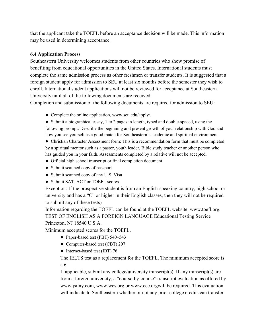that the applicant take the TOEFL before an acceptance decision will be made. This information may be used in determining acceptance.

#### **6.4 Application Process**

Southeastern University welcomes students from other countries who show promise of benefiting from educational opportunities in the United States. International students must complete the same admission process as other freshmen or transfer students. It is suggested that a foreign student apply for admission to SEU at least six months before the semester they wish to enroll. International student applications will not be reviewed for acceptance at Southeastern University until all of the following documents are received:

Completion and submission of the following documents are required for admission to SEU:

● Complete the online application, www.seu.edu/apply/.

● Submit a biographical essay, 1 to 2 pages in length, typed and double-spaced, using the following prompt: Describe the beginning and present growth of your relationship with God and how you see yourself as a good match for Southeastern's academic and spiritual environment.

● Christian Character Assessment form: This is a recommendation form that must be completed by a spiritual mentor such as a pastor, youth leader, Bible study teacher or another person who has guided you in your faith. Assessments completed by a relative will not be accepted.

- Official high school transcript or final completion document.
- Submit scanned copy of passport.
- Submit scanned copy of any U.S. Visa
- Submit SAT, ACT or TOEFL scores.

Exception: If the prospective student is from an English-speaking country, high school or university and has a "C" or higher in their English classes, then they will not be required to submit any of these tests)

Information regarding the TOEFL can be found at the TOEFL website, www.toefl.org. TEST OF ENGLISH AS A FOREIGN LANGUAGE Educational Testing Service Princeton, NJ 18540 U.S.A.

Minimum accepted scores for the TOEFL.

- Paper-based test (PBT) 540–543
- Computer-based test (CBT) 207
- Internet-based test (IBT) 76

The IELTS test as a replacement for the TOEFL. The minimum accepted score is a 6.

If applicable, submit any college/university transcript(s). If any transcript(s) are from a foreign university, a "course-by-course" transcript evaluation as offered by www.jsilny.com, www.wes.org or www.ece.orgwill be required. This evaluation will indicate to Southeastern whether or not any prior college credits can transfer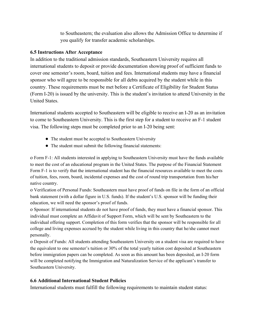to Southeastern; the evaluation also allows the Admission Office to determine if you qualify for transfer academic scholarships.

#### **6.5 Instructions After Acceptance**

In addition to the traditional admission standards, Southeastern University requires all international students to deposit or provide documentation showing proof of sufficient funds to cover one semester's room, board, tuition and fees. International students may have a financial sponsor who will agree to be responsible for all debts acquired by the student while in this country. These requirements must be met before a Certificate of Eligibility for Student Status (Form I-20) is issued by the university. This is the student's invitation to attend University in the United States.

International students accepted to Southeastern will be eligible to receive an I-20 as an invitation to come to Southeastern University. This is the first step for a student to receive an F-1 student visa. The following steps must be completed prior to an I-20 being sent:

- The student must be accepted to Southeastern University
- The student must submit the following financial statements:

o Form F-1: All students interested in applying to Southeastern University must have the funds available to meet the cost of an educational program in the United States. The purpose of the Financial Statement Form F-1 is to verify that the international student has the financial resources available to meet the costs of tuition, fees, room, board, incidental expenses and the cost of round trip transportation from his/her native country.

o Verification of Personal Funds: Southeastern must have proof of funds on file in the form of an official bank statement (with a dollar figure in U.S. funds). If the student's U.S. sponsor will be funding their education, we will need the sponsor's proof of funds.

o Sponsor: If international students do not have proof of funds, they must have a financial sponsor. This individual must complete an Affidavit of Support Form, which will be sent by Southeastern to the individual offering support. Completion of this form verifies that the sponsor will be responsible for all college and living expenses accrued by the student while living in this country that he/she cannot meet personally.

o Deposit of Funds: All students attending Southeastern University on a student visa are required to have the equivalent to one semester's tuition or 30% of the total yearly tuition cost deposited at Southeastern before immigration papers can be completed. As soon as this amount has been deposited, an I-20 form will be completed notifying the Immigration and Naturalization Service of the applicant's transfer to Southeastern University.

# **6.6 Additional International Student Policies**

International students must fulfill the following requirements to maintain student status: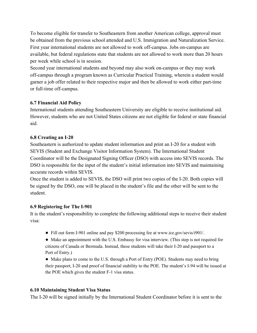To become eligible for transfer to Southeastern from another American college, approval must be obtained from the previous school attended and U.S. Immigration and Naturalization Service. First year international students are not allowed to work off-campus. Jobs on-campus are available, but federal regulations state that students are not allowed to work more than 20 hours per week while school is in session.

Second year international students and beyond may also work on-campus or they may work off-campus through a program known as Curricular Practical Training, wherein a student would garner a job offer related to their respective major and then be allowed to work either part-time or full-time off-campus.

# **6.7 Financial Aid Policy**

International students attending Southeastern University are eligible to receive institutional aid. However, students who are not United States citizens are not eligible for federal or state financial aid.

# **6.8 Creating an I-20**

Southeastern is authorized to update student information and print an I-20 for a student with SEVIS (Student and Exchange Visitor Information System). The International Student Coordinator will be the Designated Signing Officer (DSO) with access into SEVIS records. The DSO is responsible for the input of the student's initial information into SEVIS and maintaining accurate records within SEVIS.

Once the student is added to SEVIS, the DSO will print two copies of the I-20. Both copies will be signed by the DSO, one will be placed in the student's file and the other will be sent to the student.

# **6.9 Registering for The I-901**

It is the student's responsibility to complete the following additional steps to receive their student visa:

- Fill out form I-901 online and pay \$200 processing fee at www.ice.gov/sevis/i901/.
- Make an appointment with the U.S. Embassy for visa interview. (This step is not required for citizens of Canada or Bermuda. Instead, these students will take their I-20 and passport to a Port of Entry.)
- Make plans to come to the U.S. through a Port of Entry (POE). Students may need to bring their passport, I-20 and proof of financial stability to the POE. The student's I-94 will be issued at the POE which gives the student F-1 visa status.

# **6.10 Maintaining Student Visa Status**

The I-20 will be signed initially by the International Student Coordinator before it is sent to the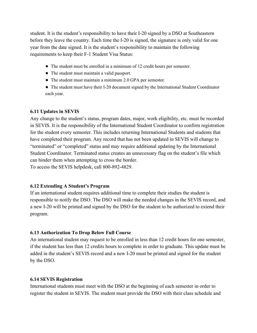student. It is the student's responsibility to have their I-20 signed by a DSO at Southeastern before they leave the country. Each time the I-20 is signed, the signature is only valid for one year from the date signed. It is the student's responsibility to maintain the following requirements to keep their F-1 Student Visa Status:

- The student must be enrolled in a minimum of 12 credit hours per semester.
- The student must maintain a valid passport.
- The student must maintain a minimum 2.0 GPA per semester.
- The student must have their I-20 document signed by the International Student Coordinator each year.

#### **6.11 Updates in SEVIS**

Any change to the student's status, program dates, major, work eligibility, etc. must be recorded in SEVIS. It is the responsibility of the International Student Coordinator to confirm registration for the student every semester. This includes returning International Students and students that have completed their program. Any record that has not been updated in SEVIS will change to "terminated" or "completed" status and may require additional updating by the International Student Coordinator. Terminated status creates an unnecessary flag on the student's file which can hinder them when attempting to cross the border.

To access the SEVIS helpdesk, call 800-892-4829.

#### **6.12 Extending A Student's Program**

If an international student requires additional time to complete their studies the student is responsible to notify the DSO. The DSO will make the needed changes in the SEVIS record, and a new I-20 will be printed and signed by the DSO for the student to be authorized to extend their program.

#### **6.13 Authorization To Drop Below Full Course**

An international student may request to be enrolled in less than 12 credit hours for one semester, if the student has less than 12 credits hours to complete in order to graduate. This update must be added in the student's SEVIS record and a new I-20 must be printed and signed for the student by the DSO.

#### **6.14 SEVIS Registration**

International students must meet with the DSO at the beginning of each semester in order to register the student in SEVIS. The student must provide the DSO with their class schedule and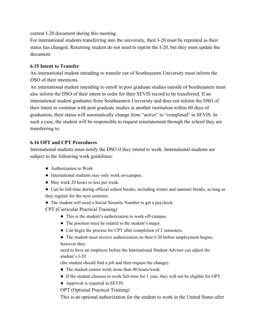current I-20 document during this meeting.

For international students transferring into the university, their I-20 must be reprinted as their status has changed. Returning student do not need to reprint the I-20, but they must update the document.

#### **6.15 Intent to Transfer**

An international student intending to transfer out of Southeastern University must inform the DSO of their intentions.

An international student intending to enroll in post graduate studies outside of Southeastern must also inform the DSO of their intent in order for their SEVIS record to be transferred. If an international student graduates from Southeastern University and does not inform the DSO of their intent to continue with post graduate studies at another institution within 60 days of graduation, their status will automatically change from "active" to "completed" in SEVIS. In such a case, the student will be responsible to request reinstatement through the school they are transferring to.

#### **6.16 OPT and CPT Procedures**

International students must notify the DSO if they intend to work. International students are subject to the following work guidelines:

- Authorization to Work
- International students may only work on-campus.
- May work 20 hours or less per week.
- Can be full-time during official school breaks, including winter and summer breaks, as long as they register for the next semester.
- The student will need a Social Security Number to get a paycheck.

CPT (Curricular Practical Training)

- This is the student's authorization to work off-campus.
- The position must be related to the student's major.
- Can begin the process for CPT after completion of 2 semesters.
- The student must receive authorization on their I-20 before employment begins, however they

need to have an employer before the International Student Advisor can adjust the student's I-20

(the student should find a job and then request the change).

- The student cannot work more than 40 hours/week.
- If the student chooses to work full-time for 1 year, they will not be eligible for OPT.
- Approval is required in SEVIS.

OPT (Optional Practical Training)

This is an optional authorization for the student to work in the United States after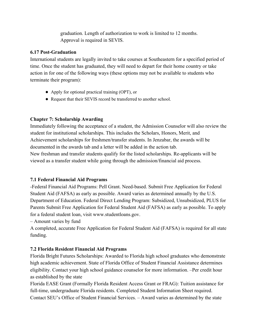graduation. Length of authorization to work is limited to 12 months. Approval is required in SEVIS.

#### **6.17 Post-Graduation**

International students are legally invited to take courses at Southeastern for a specified period of time. Once the student has graduated, they will need to depart for their home country or take action in for one of the following ways (these options may not be available to students who terminate their program):

- Apply for optional practical training (OPT), or
- Request that their SEVIS record be transferred to another school.

# **Chapter 7: Scholarship Awarding**

Immediately following the acceptance of a student, the Admission Counselor will also review the student for institutional scholarships. This includes the Scholars, Honors, Merit, and Achievement scholarships for freshmen/transfer students. In Jenzabar, the awards will be documented in the awards tab and a letter will be added in the action tab. New freshman and transfer students qualify for the listed scholarships. Re-applicants will be viewed as a transfer student while going through the admission/financial aid process.

# **7.1 Federal Financial Aid Programs**

-Federal Financial Aid Programs: Pell Grant. Need-based. Submit Free Application for Federal Student Aid (FAFSA) as early as possible. Award varies as determined annually by the U.S. Department of Education. Federal Direct Lending Program: Subsidized, Unsubsidized, PLUS for Parents Submit Free Application for Federal Student Aid (FAFSA) as early as possible. To apply for a federal student loan, visit www.studentloans.gov.

– Amount varies by fund

A completed, accurate Free Application for Federal Student Aid (FAFSA) is required for all state funding.

# **7.2 Florida Resident Financial Aid Programs**

Florida Bright Futures Scholarships: Awarded to Florida high school graduates who demonstrate high academic achievement. State of Florida Office of Student Financial Assistance determines eligibility. Contact your high school guidance counselor for more information. –Per credit hour as established by the state

Florida EASE Grant (Formally Florida Resident Access Grant or FRAG): Tuition assistance for full-time, undergraduate Florida residents. Completed Student Information Sheet required. Contact SEU's Office of Student Financial Services. – Award varies as determined by the state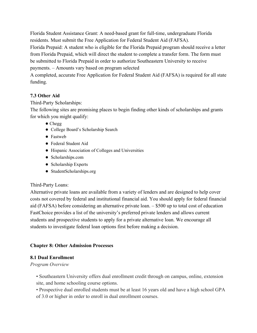Florida Student Assistance Grant: A need-based grant for full-time, undergraduate Florida residents. Must submit the Free Application for Federal Student Aid (FAFSA). Florida Prepaid: A student who is eligible for the Florida Prepaid program should receive a letter

from Florida Prepaid, which will direct the student to complete a transfer form. The form must be submitted to Florida Prepaid in order to authorize Southeastern University to receive payments. – Amounts vary based on program selected

A completed, accurate Free Application for Federal Student Aid (FAFSA) is required for all state funding.

# **7.3 Other Aid**

Third-Party Scholarships:

The following sites are promising places to begin finding other kinds of scholarships and grants for which you might qualify:

- Chegg
- College Board's Scholarship Search
- Fastweb
- Federal Student Aid
- Hispanic Association of Colleges and Universities
- Scholarships.com
- Scholarship Experts
- StudentScholarships.org

# Third-Party Loans:

Alternative private loans are available from a variety of lenders and are designed to help cover costs not covered by federal and institutional financial aid. You should apply for federal financial aid (FAFSA) before considering an alternative private loan. – \$500 up to total cost of education FastChoice provides a list of the university's preferred private lenders and allows current students and prospective students to apply for a private alternative loan. We encourage all students to investigate federal loan options first before making a decision.

#### **Chapter 8: Other Admission Processes**

#### **8.1 Dual Enrollment**

*Program Overview*

• Southeastern University offers dual enrollment credit through on campus, online, extension site, and home schooling course options.

• Prospective dual enrolled students must be at least 16 years old and have a high school GPA of 3.0 or higher in order to enroll in dual enrollment courses.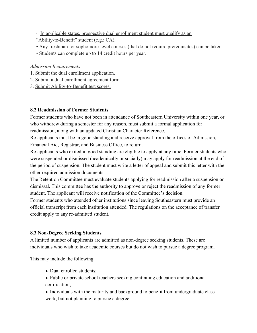- · In applicable states, prospective dual enrollment student must qualify as an
- "Ability-to-Benefit" student (e.g.: CA).
- Any freshman- or sophomore-level courses (that do not require prerequisites) can be taken.
- Students can complete up to 14 credit hours per year.

#### *Admission Requirements*

- 1. Submit the dual enrollment application.
- 2. Submit a dual enrollment agreement form.
- 3. Submit Ability-to-Benefit test scores.

#### **8.2 Readmission of Former Students**

Former students who have not been in attendance of Southeastern University within one year, or who withdrew during a semester for any reason, must submit a formal application for readmission, along with an updated Christian Character Reference.

Re-applicants must be in good standing and receive approval from the offices of Admission, Financial Aid, Registrar, and Business Office, to return.

Re-applicants who exited in good standing are eligible to apply at any time. Former students who were suspended or dismissed (academically or socially) may apply for readmission at the end of the period of suspension. The student must write a letter of appeal and submit this letter with the other required admission documents.

The Retention Committee must evaluate students applying for readmission after a suspension or dismissal. This committee has the authority to approve or reject the readmission of any former student. The applicant will receive notification of the Committee's decision.

Former students who attended other institutions since leaving Southeastern must provide an official transcript from each institution attended. The regulations on the acceptance of transfer credit apply to any re-admitted student.

#### **8.3 Non-Degree Seeking Students**

A limited number of applicants are admitted as non-degree seeking students. These are individuals who wish to take academic courses but do not wish to pursue a degree program.

This may include the following:

- Dual enrolled students;
- Public or private school teachers seeking continuing education and additional certification;
- Individuals with the maturity and background to benefit from undergraduate class work, but not planning to pursue a degree;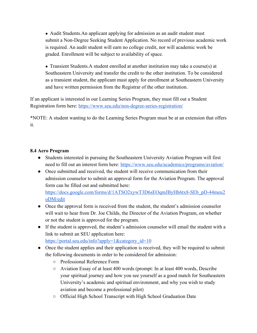• Audit Students. An applicant applying for admission as an audit student must submit a Non-Degree Seeking Student Application. No record of previous academic work is required. An audit student will earn no college credit, nor will academic work be graded. Enrollment will be subject to availability of space.

• Transient Students. A student enrolled at another institution may take a course(s) at Southeastern University and transfer the credit to the other institution. To be considered as a transient student, the applicant must apply for enrollment at Southeastern University and have written permission from the Registrar of the other institution.

If an applicant is interested in our Learning Series Program, they must fill out a Student Registration form here: <https://www.seu.edu/non-degree-series-registration/>

\*NOTE: A student wanting to do the Learning Series Program must be at an extension that offers it.

# **8.4 Aero Program**

- Students interested in pursuing the Southeastern University Aviation Program will first need to fill out an interest form here:<https://www.seu.edu/academics/programs/aviation/>
- Once submitted and received, the student will receive communication from their admission counselor to submit an approval form for the Aviation Program. The approval form can be filled out and submitted here: [https://docs.google.com/forms/d/1ATSO2xywT3D6sEOqmJByHh6tx8-SEb\\_pD-44meu2](https://docs.google.com/forms/d/1ATSO2xywT3D6sEOqmJByHh6tx8-SEb_pD-44meu2oDM/edit) [oDM/edit](https://docs.google.com/forms/d/1ATSO2xywT3D6sEOqmJByHh6tx8-SEb_pD-44meu2oDM/edit)
- Once the approval form is received from the student, the student's admission counselor will wait to hear from Dr. Joe Childs, the Director of the Aviation Program, on whether or not the student is approved for the program.
- If the student is approved, the student's admission counselor will email the student with a link to submit an SEU application here: [https://portal.seu.edu/info?apply=1&category\\_id=10](https://portal.seu.edu/info?apply=1&category_id=10)
- Once the student applies and their application is received, they will be required to submit the following documents in order to be considered for admission:
	- Professional Reference Form
	- Aviation Essay of at least 400 words (prompt: In at least 400 words, Describe your spiritual journey and how you see yourself as a good match for Southeastern University's academic and spiritual environment, and why you wish to study aviation and become a professional pilot)
	- Official High School Transcript with High School Graduation Date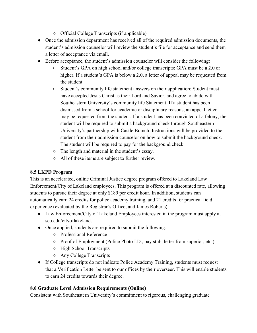- Official College Transcripts (if applicable)
- Once the admission department has received all of the required admission documents, the student's admission counselor will review the student's file for acceptance and send them a letter of acceptance via email.
- Before acceptance, the student's admission counselor will consider the following:
	- Student's GPA on high school and/or college transcripts: GPA must be a 2.0 or higher. If a student's GPA is below a 2.0, a letter of appeal may be requested from the student.
	- Student's community life statement answers on their application: Student must have accepted Jesus Christ as their Lord and Savior, and agree to abide with Southeastern University's community life Statement. If a student has been dismissed from a school for academic or disciplinary reasons, an appeal letter may be requested from the student. If a student has been convicted of a felony, the student will be required to submit a background check through Southeastern University's partnership with Castle Branch. Instructions will be provided to the student from their admission counselor on how to submit the background check. The student will be required to pay for the background check.
	- The length and material in the student's essay.
	- All of these items are subject to further review.

# **8.5 LKPD Program**

This is an accelerated, online Criminal Justice degree program offered to Lakeland Law Enforcement/City of Lakeland employees. This program is offered at a discounted rate, allowing students to pursue their degree at only \$189 per credit hour. In addition, students can automatically earn 24 credits for police academy training, and 21 credits for practical field experience (evaluated by the Registrar's Office, and James Roberts).

- Law Enforcement/City of Lakeland Employees interested in the program must apply at seu.edu/cityoflakeland.
- Once applied, students are required to submit the following:
	- Professional Reference
	- Proof of Employment (Police Photo I.D., pay stub, letter from superior, etc.)
	- High School Transcripts
	- Any College Transcripts
- If College transcripts do not indicate Police Academy Training, students must request that a Verification Letter be sent to our offices by their overseer. This will enable students to earn 24 credits towards their degree.

# **8.6 Graduate Level Admission Requirements (Online)**

Consistent with Southeastern University's commitment to rigorous, challenging graduate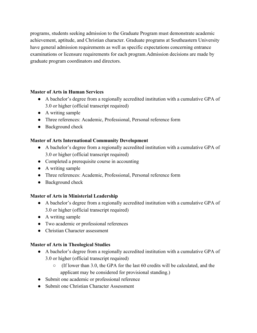programs, students seeking admission to the Graduate Program must demonstrate academic achievement, aptitude, and Christian character. Graduate programs at Southeastern University have general admission requirements as well as specific expectations concerning entrance examinations or licensure requirements for each program.Admission decisions are made by graduate program coordinators and directors.

#### **Master of Arts in Human Services**

- A bachelor's degree from a regionally accredited institution with a cumulative GPA of 3.0 or higher (official transcript required)
- A writing sample
- Three references: Academic, Professional, Personal reference form
- Background check

# **Master of Arts International Community Development**

- A bachelor's degree from a regionally accredited institution with a cumulative GPA of 3.0 or higher (official transcript required)
- Completed a prerequisite course in accounting
- A writing sample
- Three references: Academic, Professional, Personal reference form
- Background check

# **Master of Arts in Ministerial Leadership**

- A bachelor's degree from a regionally accredited institution with a cumulative GPA of 3.0 or higher (official transcript required)
- A writing sample
- Two academic or professional references
- Christian Character assessment

# **Master of Arts in Theological Studies**

- A bachelor's degree from a regionally accredited institution with a cumulative GPA of 3.0 or higher (official transcript required)
	- (If lower than 3.0, the GPA for the last 60 credits will be calculated, and the applicant may be considered for provisional standing.)
- Submit one academic or professional reference
- Submit one Christian Character Assessment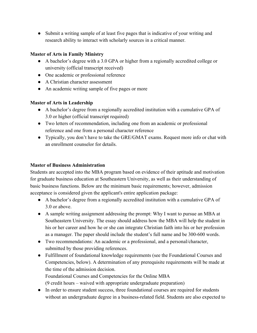● Submit a writing sample of at least five pages that is indicative of your writing and research ability to interact with scholarly sources in a critical manner.

# **Master of Arts in Family Ministry**

- A bachelor's degree with a 3.0 GPA or higher from a regionally accredited college or university (official transcript received)
- One academic or professional reference
- A Christian character assessment
- An academic writing sample of five pages or more

# **Master of Arts in Leadership**

- A bachelor's degree from a regionally accredited institution with a cumulative GPA of 3.0 or higher (official transcript required)
- Two letters of recommendation, including one from an academic or professional reference and one from a personal character reference
- Typically, you don't have to take the GRE/GMAT exams. Request more info or chat with an enrollment counselor for details.

# **Master of Business Administration**

Students are accepted into the MBA program based on evidence of their aptitude and motivation for graduate business education at Southeastern University, as well as their understanding of basic business functions. Below are the minimum basic requirements; however, admission acceptance is considered given the applicant's entire application package:

- A bachelor's degree from a regionally accredited institution with a cumulative GPA of 3.0 or above.
- A sample writing assignment addressing the prompt: Why I want to pursue an MBA at Southeastern University. The essay should address how the MBA will help the student in his or her career and how he or she can integrate Christian faith into his or her profession as a manager. The paper should include the student's full name and be 300-600 words.
- Two recommendations: An academic or a professional, and a personal/character, submitted by those providing references.
- Fulfillment of foundational knowledge requirements (see the Foundational Courses and Competencies, below). A determination of any prerequisite requirements will be made at the time of the admission decision.

Foundational Courses and Competencies for the Online MBA

(9 credit hours – waived with appropriate undergraduate preparation)

• In order to ensure student success, three foundational courses are required for students without an undergraduate degree in a business-related field. Students are also expected to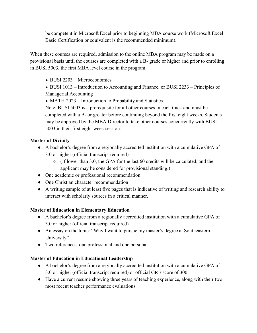be competent in Microsoft Excel prior to beginning MBA course work (Microsoft Excel Basic Certification or equivalent is the recommended minimum).

When these courses are required, admission to the online MBA program may be made on a provisional basis until the courses are completed with a B- grade or higher and prior to enrolling in BUSI 5003, the first MBA level course in the program.

- $\bullet$  BUSI 2203 Microeconomics
- BUSI 1013 Introduction to Accounting and Finance, or BUSI 2233 Principles of Managerial Accounting
- MATH 2023 Introduction to Probability and Statistics

Note: BUSI 5003 is a prerequisite for all other courses in each track and must be completed with a B- or greater before continuing beyond the first eight weeks. Students may be approved by the MBA Director to take other courses concurrently with BUSI 5003 in their first eight-week session.

# **Master of Divinity**

- A bachelor's degree from a regionally accredited institution with a cumulative GPA of 3.0 or higher (official transcript required)
	- (If lower than 3.0, the GPA for the last 60 credits will be calculated, and the applicant may be considered for provisional standing.)
- One academic or professional recommendation
- One Christian character recommendation
- A writing sample of at least five pages that is indicative of writing and research ability to interact with scholarly sources in a critical manner.

# **Master of Education in Elementary Education**

- A bachelor's degree from a regionally accredited institution with a cumulative GPA of 3.0 or higher (official transcript required)
- An essay on the topic: "Why I want to pursue my master's degree at Southeastern University"
- Two references: one professional and one personal

# **Master of Education in Educational Leadership**

- A bachelor's degree from a regionally accredited institution with a cumulative GPA of 3.0 or higher (official transcript required) or official GRE score of 300
- Have a current resume showing three years of teaching experience, along with their two most recent teacher performance evaluations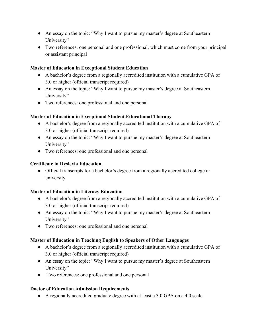- An essay on the topic: "Why I want to pursue my master's degree at Southeastern University"
- Two references: one personal and one professional, which must come from your principal or assistant principal

# **Master of Education in Exceptional Student Education**

- A bachelor's degree from a regionally accredited institution with a cumulative GPA of 3.0 or higher (official transcript required)
- An essay on the topic: "Why I want to pursue my master's degree at Southeastern University"
- Two references: one professional and one personal

# **Master of Education in Exceptional Student Educational Therapy**

- A bachelor's degree from a regionally accredited institution with a cumulative GPA of 3.0 or higher (official transcript required)
- An essay on the topic: "Why I want to pursue my master's degree at Southeastern University"
- Two references: one professional and one personal

# **Certificate in Dyslexia Education**

● Official transcripts for a bachelor's degree from a regionally accredited college or university

# **Master of Education in Literacy Education**

- A bachelor's degree from a regionally accredited institution with a cumulative GPA of 3.0 or higher (official transcript required)
- An essay on the topic: "Why I want to pursue my master's degree at Southeastern University"
- Two references: one professional and one personal

# **Master of Education in Teaching English to Speakers of Other Languages**

- A bachelor's degree from a regionally accredited institution with a cumulative GPA of 3.0 or higher (official transcript required)
- An essay on the topic: "Why I want to pursue my master's degree at Southeastern University"
- Two references: one professional and one personal

# **Doctor of Education Admission Requirements**

● A regionally accredited graduate degree with at least a 3.0 GPA on a 4.0 scale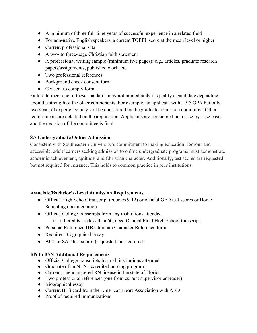- A minimum of three full-time years of successful experience in a related field
- For non-native English speakers, a current TOEFL score at the mean level or higher
- Current professional vita
- A two- to three-page Christian faith statement
- $\bullet$  A professional writing sample (minimum five pages): e.g., articles, graduate research papers/assignments, published work, etc.
- Two professional references
- Background check consent form
- Consent to comply form

Failure to meet one of these standards may not immediately disqualify a candidate depending upon the strength of the other components. For example, an applicant with a 3.5 GPA but only two years of experience may still be considered by the graduate admission committee. Other requirements are detailed on the application. Applicants are considered on a case-by-case basis, and the decision of the committee is final.

# **8.7 Undergraduate Online Admission**

Consistent with Southeastern University's commitment to making education rigorous and accessible, adult learners seeking admission to online undergraduate programs must demonstrate academic achievement, aptitude, and Christian character. Additionally, test scores are requested but not required for entrance. This holds to common practice in peer institutions.

# **Associate/Bachelor's-Level Admission Requirements**

- Official High School transcript (courses 9-12) or official GED test scores or Home Schooling documentation
- Official College transcripts from any institutions attended
	- (If credits are less than 60, need Official Final High School transcript)
- Personal Reference **OR** Christian Character Reference form
- Required Biographical Essay
- ACT or SAT test scores (requested, not required)

# **RN to BSN Additional Requirements**

- Official College transcripts from all institutions attended
- Graduate of an NLN-accredited nursing program
- Current, unencumbered RN license in the state of Florida
- Two professional references (one from current supervisor or leader)
- Biographical essay
- Current BLS card from the American Heart Association with AED
- Proof of required immunizations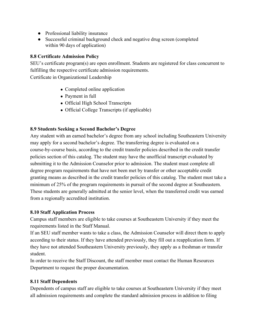- Professional liability insurance
- Successful criminal background check and negative drug screen (completed within 90 days of application)

#### **8.8 Certificate Admission Policy**

SEU's certificate program(s) are open enrollment. Students are registered for class concurrent to fulfilling the respective certificate admission requirements.

Certificate in Organizational Leadership

- Completed online application
- Payment in full
- Official High School Transcripts
- Official College Transcripts (if applicable)

# **8.9 Students Seeking a Second Bachelor's Degree**

Any student with an earned bachelor's degree from any school including Southeastern University may apply for a second bachelor's degree. The transferring degree is evaluated on a course-by-course basis, according to the credit transfer policies described in the credit transfer policies section of this catalog. The student may have the unofficial transcript evaluated by submitting it to the Admission Counselor prior to admission. The student must complete all degree program requirements that have not been met by transfer or other acceptable credit granting means as described in the credit transfer policies of this catalog. The student must take a minimum of 25% of the program requirements in pursuit of the second degree at Southeastern. These students are generally admitted at the senior level, when the transferred credit was earned from a regionally accredited institution.

#### **8.10 Staff Application Process**

Campus staff members are eligible to take courses at Southeastern University if they meet the requirements listed in the Staff Manual.

If an SEU staff member wants to take a class, the Admission Counselor will direct them to apply according to their status. If they have attended previously, they fill out a reapplication form. If they have not attended Southeastern University previously, they apply as a freshman or transfer student.

In order to receive the Staff Discount, the staff member must contact the Human Resources Department to request the proper documentation.

# **8.11 Staff Dependents**

Dependents of campus staff are eligible to take courses at Southeastern University if they meet all admission requirements and complete the standard admission process in addition to filing